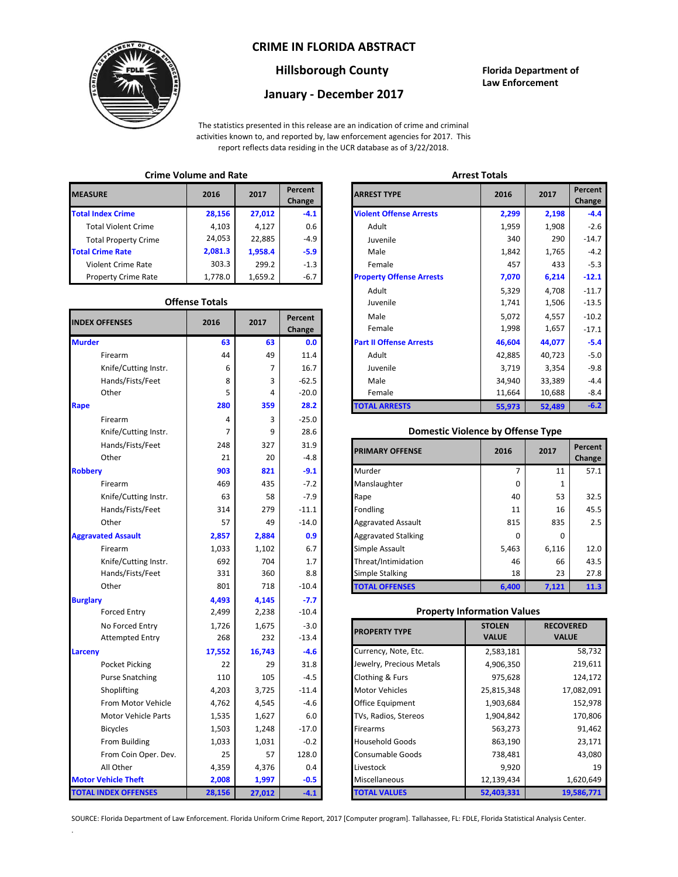### **CRIME IN FLORIDA ABSTRACT**



### **Hillsborough County Florida Department of**

# **January - December 2017**

**Law Enforcement**

The statistics presented in this release are an indication of crime and criminal activities known to, and reported by, law enforcement agencies for 2017. This report reflects data residing in the UCR database as of 3/22/2018.

### **Crime Volume and Rate Arrest Totals**

| <b>MEASURE</b>              | 2016    | 2017    | <b>Percent</b><br>Change | <b>ARREST TYPE</b>             |
|-----------------------------|---------|---------|--------------------------|--------------------------------|
| <b>Total Index Crime</b>    | 28,156  | 27,012  | $-4.1$                   | <b>Violent Offense Arrests</b> |
| <b>Total Violent Crime</b>  | 4,103   | 4,127   | 0.6                      | Adult                          |
| <b>Total Property Crime</b> | 24,053  | 22,885  | $-4.9$                   | Juvenile                       |
| <b>Total Crime Rate</b>     | 2,081.3 | 1.958.4 | $-5.9$                   | Male                           |
| <b>Violent Crime Rate</b>   | 303.3   | 299.2   | $-1.3$                   | Female                         |
| <b>Property Crime Rate</b>  | 1,778.0 | 1,659.2 | $-6.7$                   | <b>Property Offense Arrest</b> |

#### **Offense Totals**

| <b>INDEX OFFENSES</b>       | 2016   | 2017   | Percent<br>Change | Male<br>Female                           | 5,072<br>1,998                     | 4,557<br>1,657   | $-10.2$<br>$-17.1$ |
|-----------------------------|--------|--------|-------------------|------------------------------------------|------------------------------------|------------------|--------------------|
| <b>Murder</b>               | 63     | 63     | 0.0               | <b>Part II Offense Arrests</b>           | 46,604                             | 44,077           | $-5.4$             |
| Firearm                     | 44     | 49     | 11.4              | Adult                                    | 42,885                             | 40,723           | $-5.0$             |
| Knife/Cutting Instr.        | 6      | 7      | 16.7              | Juvenile                                 | 3,719                              | 3,354            | $-9.8$             |
| Hands/Fists/Feet            | 8      | 3      | $-62.5$           | Male                                     | 34,940                             | 33,389           | $-4.4$             |
| Other                       | 5      | 4      | $-20.0$           | Female                                   | 11,664                             | 10,688           | $-8.4$             |
| Rape                        | 280    | 359    | 28.2              | <b>TOTAL ARRESTS</b>                     | 55,973                             | 52,489           | $-6.2$             |
| Firearm                     | 4      | 3      | $-25.0$           |                                          |                                    |                  |                    |
| Knife/Cutting Instr.        | 7      | 9      | 28.6              | <b>Domestic Violence by Offense Type</b> |                                    |                  |                    |
| Hands/Fists/Feet            | 248    | 327    | 31.9              | <b>PRIMARY OFFENSE</b>                   | 2016                               | 2017             | Percent            |
| Other                       | 21     | 20     | $-4.8$            |                                          |                                    |                  | Change             |
| <b>Robbery</b>              | 903    | 821    | $-9.1$            | Murder                                   | 7                                  | 11               | 57.1               |
| Firearm                     | 469    | 435    | $-7.2$            | Manslaughter                             | $\Omega$                           | $\mathbf{1}$     |                    |
| Knife/Cutting Instr.        | 63     | 58     | $-7.9$            | Rape                                     | 40                                 | 53               | 32.5               |
| Hands/Fists/Feet            | 314    | 279    | $-11.1$           | Fondling                                 | 11                                 | 16               | 45.5               |
| Other                       | 57     | 49     | $-14.0$           | <b>Aggravated Assault</b>                | 815                                | 835              | 2.5                |
| <b>Aggravated Assault</b>   | 2,857  | 2,884  | 0.9               | <b>Aggravated Stalking</b>               | 0                                  | 0                |                    |
| Firearm                     | 1,033  | 1,102  | 6.7               | Simple Assault                           | 5,463                              | 6,116            | 12.0               |
| Knife/Cutting Instr.        | 692    | 704    | 1.7               | Threat/Intimidation                      | 46                                 | 66               | 43.5               |
| Hands/Fists/Feet            | 331    | 360    | 8.8               | <b>Simple Stalking</b>                   | 18                                 | 23               | 27.8               |
| Other                       | 801    | 718    | $-10.4$           | <b>TOTAL OFFENSES</b>                    | 6,400                              | 7,121            | 11.3               |
| <b>Burglary</b>             | 4,493  | 4,145  | $-7.7$            |                                          |                                    |                  |                    |
| <b>Forced Entry</b>         | 2,499  | 2,238  | $-10.4$           |                                          | <b>Property Information Values</b> |                  |                    |
| No Forced Entry             | 1,726  | 1,675  | $-3.0$            | <b>PROPERTY TYPE</b>                     | <b>STOLEN</b>                      | <b>RECOVERED</b> |                    |
| <b>Attempted Entry</b>      | 268    | 232    | $-13.4$           |                                          | <b>VALUE</b>                       | <b>VALUE</b>     |                    |
| <b>Larceny</b>              | 17,552 | 16,743 | $-4.6$            | Currency, Note, Etc.                     | 2,583,181                          |                  | 58,732             |
| Pocket Picking              | 22     | 29     | 31.8              | Jewelry, Precious Metals                 | 4,906,350                          |                  | 219,611            |
| <b>Purse Snatching</b>      | 110    | 105    | $-4.5$            | Clothing & Furs                          | 975,628                            |                  | 124,172            |
| Shoplifting                 | 4,203  | 3,725  | $-11.4$           | <b>Motor Vehicles</b>                    | 25,815,348                         |                  | 17,082,091         |
| From Motor Vehicle          | 4,762  | 4,545  | $-4.6$            | Office Equipment                         | 1,903,684                          | 152,978          |                    |
| <b>Motor Vehicle Parts</b>  | 1,535  | 1,627  | 6.0               | TVs, Radios, Stereos                     | 1,904,842                          |                  | 170,806            |
| <b>Bicycles</b>             | 1,503  | 1,248  | $-17.0$           | Firearms                                 | 563,273                            |                  | 91,462             |
| From Building               | 1,033  | 1,031  | $-0.2$            | <b>Household Goods</b>                   | 863,190                            | 23,171           |                    |
| From Coin Oper. Dev.        | 25     | 57     | 128.0             | Consumable Goods                         | 738,481                            |                  | 43,080             |
| All Other                   | 4,359  | 4,376  | 0.4               | Livestock                                | 9,920                              |                  | 19                 |
| <b>Motor Vehicle Theft</b>  | 2,008  | 1,997  | $-0.5$            | Miscellaneous                            | 12,139,434                         |                  | 1,620,649          |
| <b>TOTAL INDEX OFFENSES</b> | 28,156 | 27,012 | $-4.1$            | <b>TOTAL VALUES</b>                      | 52,403,331                         |                  | 19,586,771         |

.

| טוויייני • טומוויכ מוומ וימנכ |                       |         |                   |                                 | <b>AUCHLICH</b> |        |                   |  |
|-------------------------------|-----------------------|---------|-------------------|---------------------------------|-----------------|--------|-------------------|--|
| RΕ                            | 2016                  | 2017    | Percent<br>Change | <b>ARREST TYPE</b>              | 2016            | 2017   | Percent<br>Change |  |
| dex Crime                     | 28,156                | 27,012  | $-4.1$            | <b>Violent Offense Arrests</b>  | 2,299           | 2,198  |                   |  |
| ıl Violent Crime              | 4,103                 | 4,127   | 0.6               | Adult                           | 1,959           | 1,908  |                   |  |
| Il Property Crime             | 24,053                | 22,885  | $-4.9$            | Juvenile                        | 340             | 290    |                   |  |
| me Rate                       | 2,081.3               | 1,958.4 | $-5.9$            | Male                            | 1,842           | 1,765  |                   |  |
| ent Crime Rate                | 303.3                 | 299.2   | $-1.3$            | Female                          | 457             | 433    |                   |  |
| erty Crime Rate               | 1,778.0               | 1,659.2 | $-6.7$            | <b>Property Offense Arrests</b> | 7,070           | 6,214  |                   |  |
|                               |                       |         |                   | Adult                           | 5,329           | 4,708  |                   |  |
|                               | <b>Offense Totals</b> |         |                   | Juvenile                        | 1,741           | 1,506  |                   |  |
| <b>FFENSES</b>                | 2016                  | 2017    | Percent           | Male                            | 5,072           | 4,557  |                   |  |
|                               |                       |         | Change            | Female                          | 1,998           | 1,657  |                   |  |
|                               | 63                    | 63      | 0.0               | <b>Part II Offense Arrests</b>  | 46,604          | 44,077 |                   |  |
| Firearm                       | 44                    | 49      | 11.4              | Adult                           | 42,885          | 40,723 |                   |  |
| Knife/Cutting Instr.          | 6                     | 7       | 16.7              | Juvenile                        | 3,719           | 3,354  |                   |  |
| Hands/Fists/Feet              | 8                     | 3       | $-62.5$           | Male                            | 34,940          | 33,389 |                   |  |
| Other                         | 5                     | 4       | $-20.0$           | Female                          | 11,664          | 10,688 |                   |  |
|                               | 280                   | 359     | 28.2              | <b>TOTAL ARRESTS</b>            | 55,973          | 52,489 |                   |  |
|                               |                       |         |                   |                                 |                 |        |                   |  |

#### **Domestic Violence by Offense Type**

| Hands/Fists/Feet<br>Other | 248<br>21 | 327<br>20 | 31.9<br>$-4.8$ | <b>PRIMARY OFFENSE</b>     | 2016     | 2017  | Percent<br>Change |
|---------------------------|-----------|-----------|----------------|----------------------------|----------|-------|-------------------|
|                           | 903       | 821       | $-9.1$         | Murder                     |          | 11    | 57.1              |
| Firearm                   | 469       | 435       | $-7.2$         | Manslaughter               | $\Omega$ |       |                   |
| Knife/Cutting Instr.      | 63        | 58        | $-7.9$         | Rape                       | 40       | 53    | 32.5              |
| Hands/Fists/Feet          | 314       | 279       | $-11.1$        | Fondling                   | 11       | 16    | 45.5              |
| Other                     | 57        | 49        | $-14.0$        | <b>Aggravated Assault</b>  | 815      | 835   |                   |
| ted Assault               | 2,857     | 2,884     | 0.9            | <b>Aggravated Stalking</b> | 0        | 0     |                   |
| Firearm                   | 1,033     | 1,102     | 6.7            | Simple Assault             | 5,463    | 6,116 | 12.0              |
| Knife/Cutting Instr.      | 692       | 704       | 1.7            | Threat/Intimidation        | 46       | 66    | 43.5              |
| Hands/Fists/Feet          | 331       | 360       | 8.8            | <b>Simple Stalking</b>     | 18       | 23    | 27.8              |
| Other                     | 801       | 718       | $-10.4$        | <b>TOTAL OFFENSES</b>      | 6,400    | 7,121 | 11.3              |

#### **Property Information Values**

| 1,726  | 1,675  | $-3.0$  | <b>PROPERTY TYPE</b>     | <b>STOLEN</b> | <b>RECOVERED</b> |
|--------|--------|---------|--------------------------|---------------|------------------|
| 268    | 232    | $-13.4$ |                          | <b>VALUE</b>  | <b>VALUE</b>     |
| 17,552 | 16,743 | $-4.6$  | Currency, Note, Etc.     | 2,583,181     | 58,732           |
| 22     | 29     | 31.8    | Jewelry, Precious Metals | 4,906,350     | 219,611          |
| 110    | 105    | $-4.5$  | Clothing & Furs          | 975,628       | 124,172          |
| 4,203  | 3,725  | $-11.4$ | <b>Motor Vehicles</b>    | 25,815,348    | 17,082,091       |
| 4,762  | 4,545  | $-4.6$  | Office Equipment         | 1,903,684     | 152,978          |
| 1,535  | 1,627  | 6.0     | TVs, Radios, Stereos     | 1,904,842     | 170,806          |
| 1,503  | 1,248  | $-17.0$ | <b>Firearms</b>          | 563,273       | 91,462           |
| 1,033  | 1,031  | $-0.2$  | <b>Household Goods</b>   | 863,190       | 23,171           |
| 25     | 57     | 128.0   | <b>Consumable Goods</b>  | 738,481       | 43,080           |
| 4,359  | 4,376  | 0.4     | Livestock                | 9,920         | 19               |
| 2,008  | 1,997  | $-0.5$  | Miscellaneous            | 12,139,434    | 1,620,649        |
| 28,156 | 27,012 | $-4.1$  | <b>TOTAL VALUES</b>      | 52,403,331    | 19,586,771       |

SOURCE: Florida Department of Law Enforcement. Florida Uniform Crime Report, 2017 [Computer program]. Tallahassee, FL: FDLE, Florida Statistical Analysis Center.